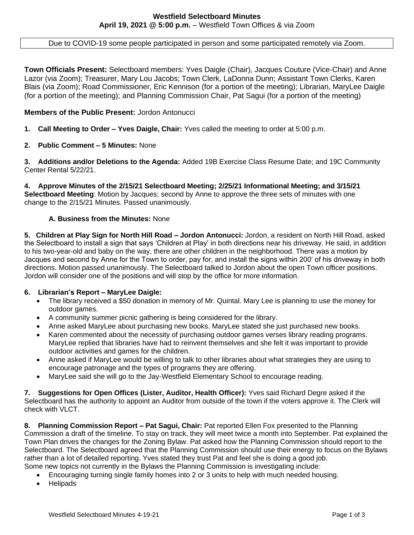Due to COVID-19 some people participated in person and some participated remotely via Zoom.

**Town Officials Present:** Selectboard members: Yves Daigle (Chair), Jacques Couture (Vice-Chair) and Anne Lazor (via Zoom); Treasurer, Mary Lou Jacobs; Town Clerk, LaDonna Dunn; Assistant Town Clerks, Karen Blais (via Zoom); Road Commissioner, Eric Kennison (for a portion of the meeting); Librarian, MaryLee Daigle (for a portion of the meeting); and Planning Commission Chair, Pat Sagui (for a portion of the meeting)

## **Members of the Public Present:** Jordon Antonucci

- **1. Call Meeting to Order – Yves Daigle, Chair:** Yves called the meeting to order at 5:00 p.m.
- **2. Public Comment – 5 Minutes:** None

**3. Additions and/or Deletions to the Agenda:** Added 19B Exercise Class Resume Date; and 19C Community Center Rental 5/22/21.

**4. Approve Minutes of the 2/15/21 Selectboard Meeting; 2/25/21 Informational Meeting; and 3/15/21 Selectboard Meeting**: Motion by Jacques; second by Anne to approve the three sets of minutes with one change to the 2/15/21 Minutes. Passed unanimously.

## **A. Business from the Minutes:** None

**5. Children at Play Sign for North Hill Road – Jordon Antonucci:** Jordon, a resident on North Hill Road, asked the Selectboard to install a sign that says 'Children at Play' in both directions near his driveway. He said, in addition to his two-year-old and baby on the way, there are other children in the neighborhood. There was a motion by Jacques and second by Anne for the Town to order, pay for, and install the signs within 200' of his driveway in both directions. Motion passed unanimously. The Selectboard talked to Jordon about the open Town officer positions. Jordon will consider one of the positions and will stop by the office for more information.

#### **6. Librarian's Report – MaryLee Daigle:**

- The library received a \$50 donation in memory of Mr. Quintal. Mary Lee is planning to use the money for outdoor games.
- A community summer picnic gathering is being considered for the library.
- Anne asked MaryLee about purchasing new books. MaryLee stated she just purchased new books.
- Karen commented about the necessity of purchasing outdoor games verses library reading programs. MaryLee replied that libraries have had to reinvent themselves and she felt it was important to provide outdoor activities and games for the children.
- Anne asked if MaryLee would be willing to talk to other libraries about what strategies they are using to encourage patronage and the types of programs they are offering.
- MaryLee said she will go to the Jay-Westfield Elementary School to encourage reading.

**7. Suggestions for Open Offices (Lister, Auditor, Health Officer):** Yves said Richard Degre asked if the Selectboard has the authority to appoint an Auditor from outside of the town if the voters approve it. The Clerk will check with VLCT.

**8. Planning Commission Report – Pat Sagui, Chair:** Pat reported Ellen Fox presented to the Planning Commission a draft of the timeline. To stay on track, they will meet twice a month into September. Pat explained the Town Plan drives the changes for the Zoning Bylaw. Pat asked how the Planning Commission should report to the Selectboard. The Selectboard agreed that the Planning Commission should use their energy to focus on the Bylaws rather than a lot of detailed reporting. Yves stated they trust Pat and feel she is doing a good job. Some new topics not currently in the Bylaws the Planning Commission is investigating include:

- Encouraging turning single family homes into 2 or 3 units to help with much needed housing.
- **Helipads**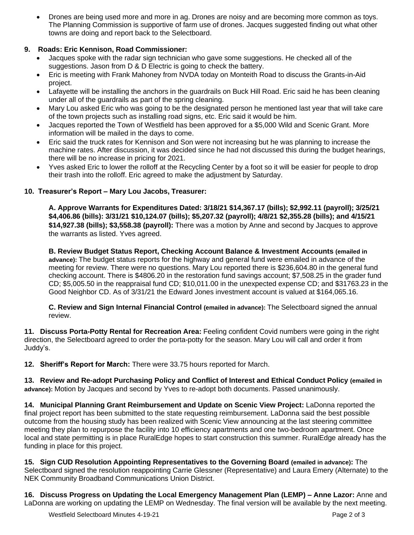• Drones are being used more and more in ag. Drones are noisy and are becoming more common as toys. The Planning Commission is supportive of farm use of drones. Jacques suggested finding out what other towns are doing and report back to the Selectboard.

# **9. Roads: Eric Kennison, Road Commissioner:**

- Jacques spoke with the radar sign technician who gave some suggestions. He checked all of the suggestions. Jason from D & D Electric is going to check the battery.
- Eric is meeting with Frank Mahoney from NVDA today on Monteith Road to discuss the Grants-in-Aid project.
- Lafayette will be installing the anchors in the guardrails on Buck Hill Road. Eric said he has been cleaning under all of the guardrails as part of the spring cleaning.
- Mary Lou asked Eric who was going to be the designated person he mentioned last year that will take care of the town projects such as installing road signs, etc. Eric said it would be him.
- Jacques reported the Town of Westfield has been approved for a \$5,000 Wild and Scenic Grant. More information will be mailed in the days to come.
- Eric said the truck rates for Kennison and Son were not increasing but he was planning to increase the machine rates. After discussion, it was decided since he had not discussed this during the budget hearings, there will be no increase in pricing for 2021.
- Yves asked Eric to lower the rolloff at the Recycling Center by a foot so it will be easier for people to drop their trash into the rolloff. Eric agreed to make the adjustment by Saturday.

# **10. Treasurer's Report – Mary Lou Jacobs, Treasurer:**

**A. Approve Warrants for Expenditures Dated: 3/18/21 \$14,367.17 (bills); \$2,992.11 (payroll); 3/25/21 \$4,406.86 (bills): 3/31/21 \$10,124.07 (bills); \$5,207.32 (payroll); 4/8/21 \$2,355.28 (bills); and 4/15/21 \$14,927.38 (bills); \$3,558.38 (payroll):** There was a motion by Anne and second by Jacques to approve the warrants as listed. Yves agreed.

**B. Review Budget Status Report, Checking Account Balance & Investment Accounts (emailed in advance):** The budget status reports for the highway and general fund were emailed in advance of the meeting for review. There were no questions. Mary Lou reported there is \$236,604.80 in the general fund checking account. There is \$4806.20 in the restoration fund savings account; \$7,508.25 in the grader fund CD; \$5,005.50 in the reappraisal fund CD; \$10,011.00 in the unexpected expense CD; and \$31763.23 in the Good Neighbor CD. As of 3/31/21 the Edward Jones investment account is valued at \$164,065.16.

**C. Review and Sign Internal Financial Control (emailed in advance):** The Selectboard signed the annual review.

**11. Discuss Porta-Potty Rental for Recreation Area:** Feeling confident Covid numbers were going in the right direction, the Selectboard agreed to order the porta-potty for the season. Mary Lou will call and order it from Juddy's.

**12. Sheriff's Report for March:** There were 33.75 hours reported for March.

**13. Review and Re-adopt Purchasing Policy and Conflict of Interest and Ethical Conduct Policy (emailed in advance):** Motion by Jacques and second by Yves to re-adopt both documents. Passed unanimously.

**14. Municipal Planning Grant Reimbursement and Update on Scenic View Project:** LaDonna reported the final project report has been submitted to the state requesting reimbursement. LaDonna said the best possible outcome from the housing study has been realized with Scenic View announcing at the last steering committee meeting they plan to repurpose the facility into 10 efficiency apartments and one two-bedroom apartment. Once local and state permitting is in place RuralEdge hopes to start construction this summer. RuralEdge already has the funding in place for this project.

**15. Sign CUD Resolution Appointing Representatives to the Governing Board (emailed in advance):** The Selectboard signed the resolution reappointing Carrie Glessner (Representative) and Laura Emery (Alternate) to the NEK Community Broadband Communications Union District.

**16. Discuss Progress on Updating the Local Emergency Management Plan (LEMP) – Anne Lazor:** Anne and LaDonna are working on updating the LEMP on Wednesday. The final version will be available by the next meeting.